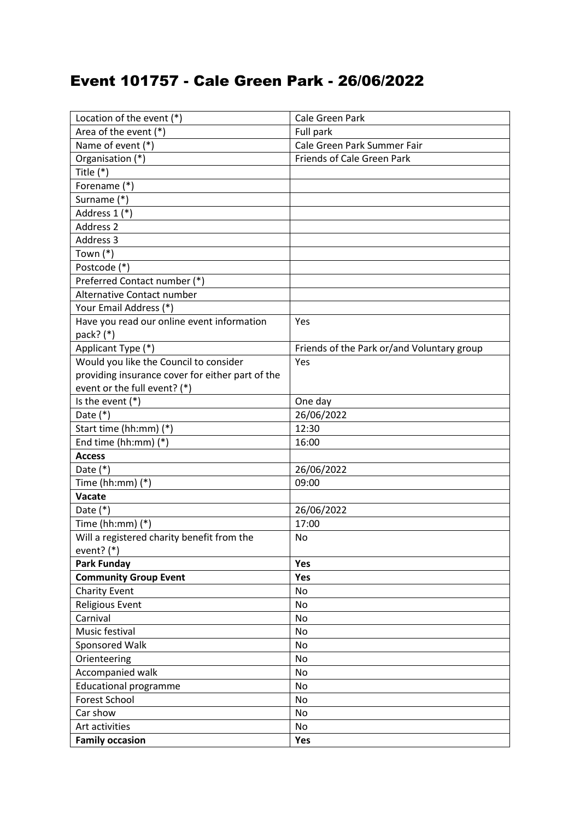## Event 101757 - Cale Green Park - 26/06/2022

| Location of the event (*)                        | Cale Green Park                            |
|--------------------------------------------------|--------------------------------------------|
| Area of the event (*)                            | Full park                                  |
| Name of event (*)                                | Cale Green Park Summer Fair                |
| Organisation (*)                                 | <b>Friends of Cale Green Park</b>          |
| Title $(*)$                                      |                                            |
| Forename (*)                                     |                                            |
| Surname (*)                                      |                                            |
| Address 1 (*)                                    |                                            |
| Address 2                                        |                                            |
| Address 3                                        |                                            |
| Town $(*)$                                       |                                            |
| Postcode (*)                                     |                                            |
| Preferred Contact number (*)                     |                                            |
| Alternative Contact number                       |                                            |
| Your Email Address (*)                           |                                            |
| Have you read our online event information       | Yes                                        |
| pack? (*)                                        |                                            |
| Applicant Type (*)                               | Friends of the Park or/and Voluntary group |
| Would you like the Council to consider           | Yes                                        |
| providing insurance cover for either part of the |                                            |
| event or the full event? (*)                     |                                            |
| Is the event $(*)$                               | One day                                    |
| Date $(*)$                                       | 26/06/2022                                 |
| Start time (hh:mm) (*)                           | 12:30                                      |
| End time (hh:mm) (*)                             | 16:00                                      |
| <b>Access</b>                                    |                                            |
| Date $(*)$                                       | 26/06/2022                                 |
| Time (hh:mm) $(*)$                               | 09:00                                      |
| Vacate                                           |                                            |
| Date $(*)$                                       | 26/06/2022                                 |
| Time (hh:mm) $(*)$                               | 17:00                                      |
| Will a registered charity benefit from the       | <b>No</b>                                  |
| event? $(*)$                                     |                                            |
| <b>Park Funday</b>                               | Yes                                        |
| <b>Community Group Event</b>                     | Yes                                        |
| <b>Charity Event</b>                             | No                                         |
| <b>Religious Event</b>                           | No                                         |
| Carnival                                         | No                                         |
| Music festival                                   | No                                         |
| Sponsored Walk                                   | No                                         |
| Orienteering                                     | No                                         |
| Accompanied walk                                 | No                                         |
| <b>Educational programme</b>                     | No                                         |
| Forest School                                    | No                                         |
| Car show                                         | No                                         |
| Art activities                                   | No                                         |
| <b>Family occasion</b>                           | Yes                                        |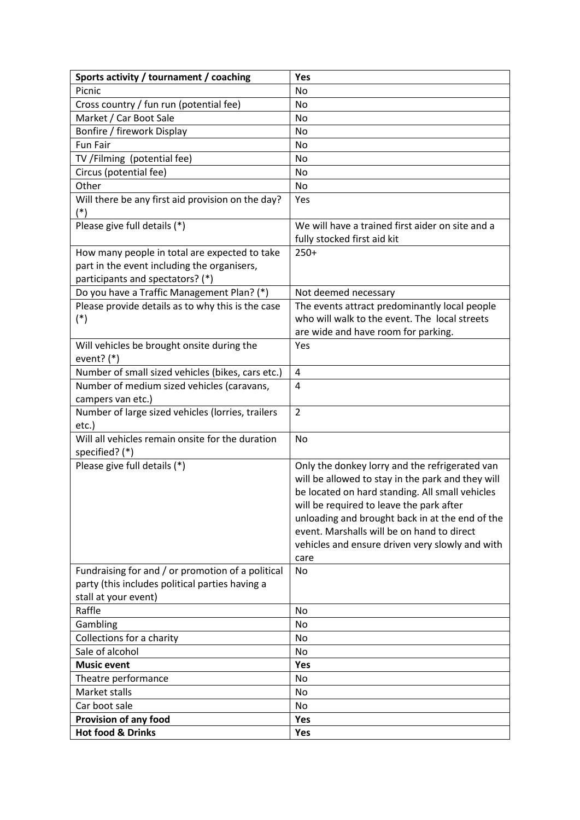| Sports activity / tournament / coaching           | Yes                                               |
|---------------------------------------------------|---------------------------------------------------|
| Picnic                                            | No                                                |
| Cross country / fun run (potential fee)           | No                                                |
| Market / Car Boot Sale                            | No                                                |
| Bonfire / firework Display                        | No                                                |
| <b>Fun Fair</b>                                   | No                                                |
| TV /Filming (potential fee)                       | No                                                |
| Circus (potential fee)                            | No                                                |
| Other                                             | No                                                |
| Will there be any first aid provision on the day? | Yes                                               |
| $(*)$                                             |                                                   |
| Please give full details (*)                      | We will have a trained first aider on site and a  |
|                                                   | fully stocked first aid kit                       |
| How many people in total are expected to take     | $250+$                                            |
| part in the event including the organisers,       |                                                   |
| participants and spectators? (*)                  |                                                   |
| Do you have a Traffic Management Plan? (*)        | Not deemed necessary                              |
| Please provide details as to why this is the case | The events attract predominantly local people     |
| $(*)$                                             | who will walk to the event. The local streets     |
|                                                   | are wide and have room for parking.               |
| Will vehicles be brought onsite during the        | Yes                                               |
| event? $(*)$                                      |                                                   |
| Number of small sized vehicles (bikes, cars etc.) | 4                                                 |
| Number of medium sized vehicles (caravans,        | $\overline{4}$                                    |
| campers van etc.)                                 |                                                   |
| Number of large sized vehicles (lorries, trailers | $\overline{2}$                                    |
| etc.)                                             |                                                   |
| Will all vehicles remain onsite for the duration  | No                                                |
| specified? (*)                                    |                                                   |
| Please give full details (*)                      | Only the donkey lorry and the refrigerated van    |
|                                                   | will be allowed to stay in the park and they will |
|                                                   | be located on hard standing. All small vehicles   |
|                                                   | will be required to leave the park after          |
|                                                   | unloading and brought back in at the end of the   |
|                                                   | event. Marshalls will be on hand to direct        |
|                                                   | vehicles and ensure driven very slowly and with   |
|                                                   | care                                              |
| Fundraising for and / or promotion of a political | No                                                |
| party (this includes political parties having a   |                                                   |
| stall at your event)                              |                                                   |
| Raffle                                            | No                                                |
| Gambling                                          | No                                                |
| Collections for a charity                         | No                                                |
| Sale of alcohol                                   | No                                                |
| <b>Music event</b>                                | Yes                                               |
| Theatre performance                               | No                                                |
| Market stalls                                     | No                                                |
| Car boot sale                                     | No                                                |
| Provision of any food                             | Yes                                               |
| <b>Hot food &amp; Drinks</b>                      | Yes                                               |